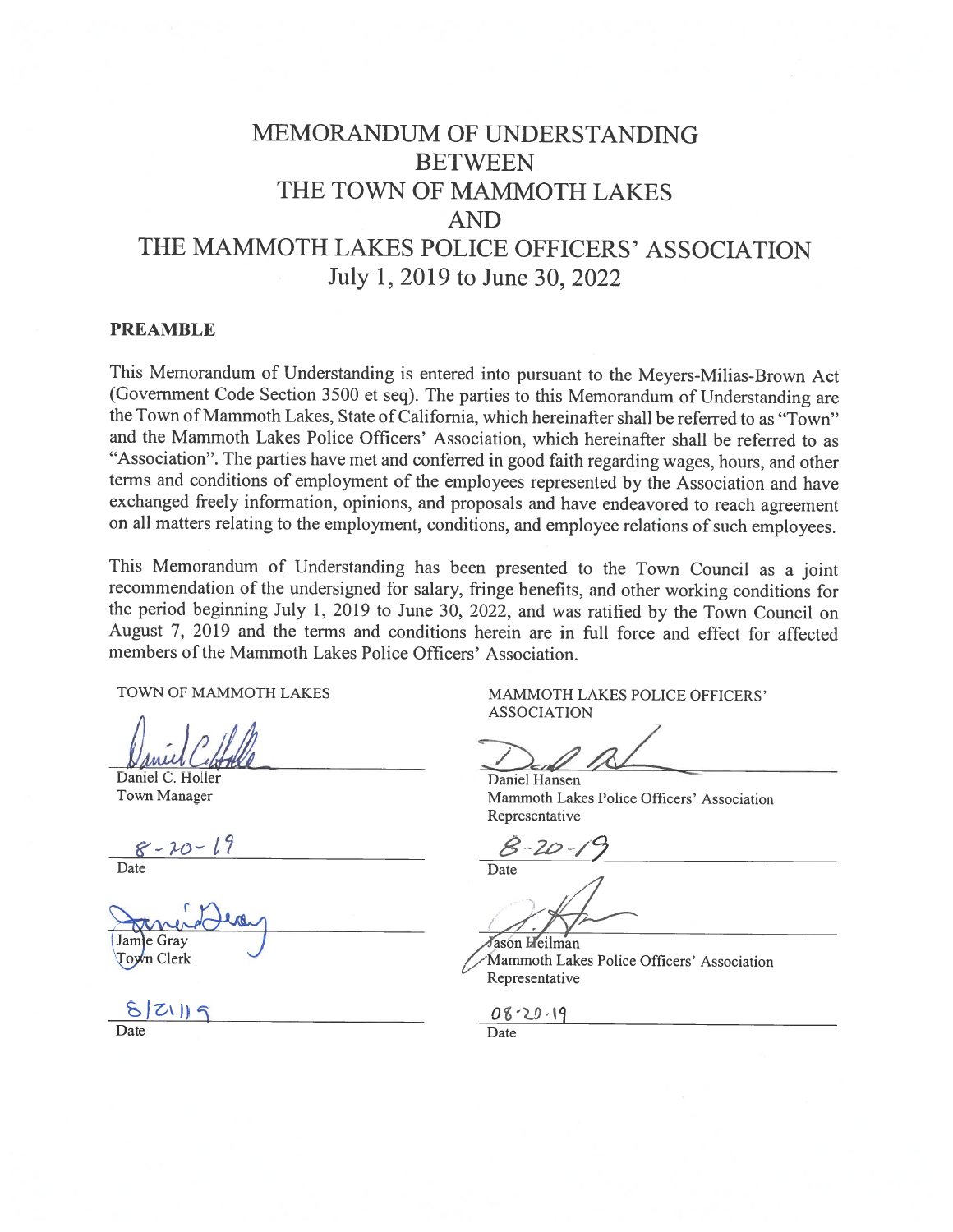# **MEMORANDUM OF UNDERSTANDING BETWEEN** THE TOWN OF MAMMOTH LAKES **AND** THE MAMMOTH LAKES POLICE OFFICERS' ASSOCIATION July 1, 2019 to June 30, 2022

#### **PREAMBLE**

This Memorandum of Understanding is entered into pursuant to the Meyers-Milias-Brown Act (Government Code Section 3500 et seq). The parties to this Memorandum of Understanding are the Town of Mammoth Lakes, State of California, which hereinafter shall be referred to as "Town" and the Mammoth Lakes Police Officers' Association, which hereinafter shall be referred to as "Association". The parties have met and conferred in good faith regarding wages, hours, and other terms and conditions of employment of the employees represented by the Association and have exchanged freely information, opinions, and proposals and have endeavored to reach agreement on all matters relating to the employment, conditions, and employee relations of such employees.

This Memorandum of Understanding has been presented to the Town Council as a joint recommendation of the undersigned for salary, fringe benefits, and other working conditions for the period beginning July 1, 2019 to June 30, 2022, and was ratified by the Town Council on August 7, 2019 and the terms and conditions herein are in full force and effect for affected members of the Mammoth Lakes Police Officers' Association.

TOWN OF MAMMOTH LAKES

Daniel C. Holler Town Manager

 $8 - 20 - 19$ <br>Date

Jamle Grav Town Clerk

 $821199$ 

MAMMOTH LAKES POLICE OFFICERS' **ASSOCIATION** 

Daniel Hansen Mammoth Lakes Police Officers' Association Representative

Jason Heilman Mammoth Lakes Police Officers' Association Representative

08-20-19

Date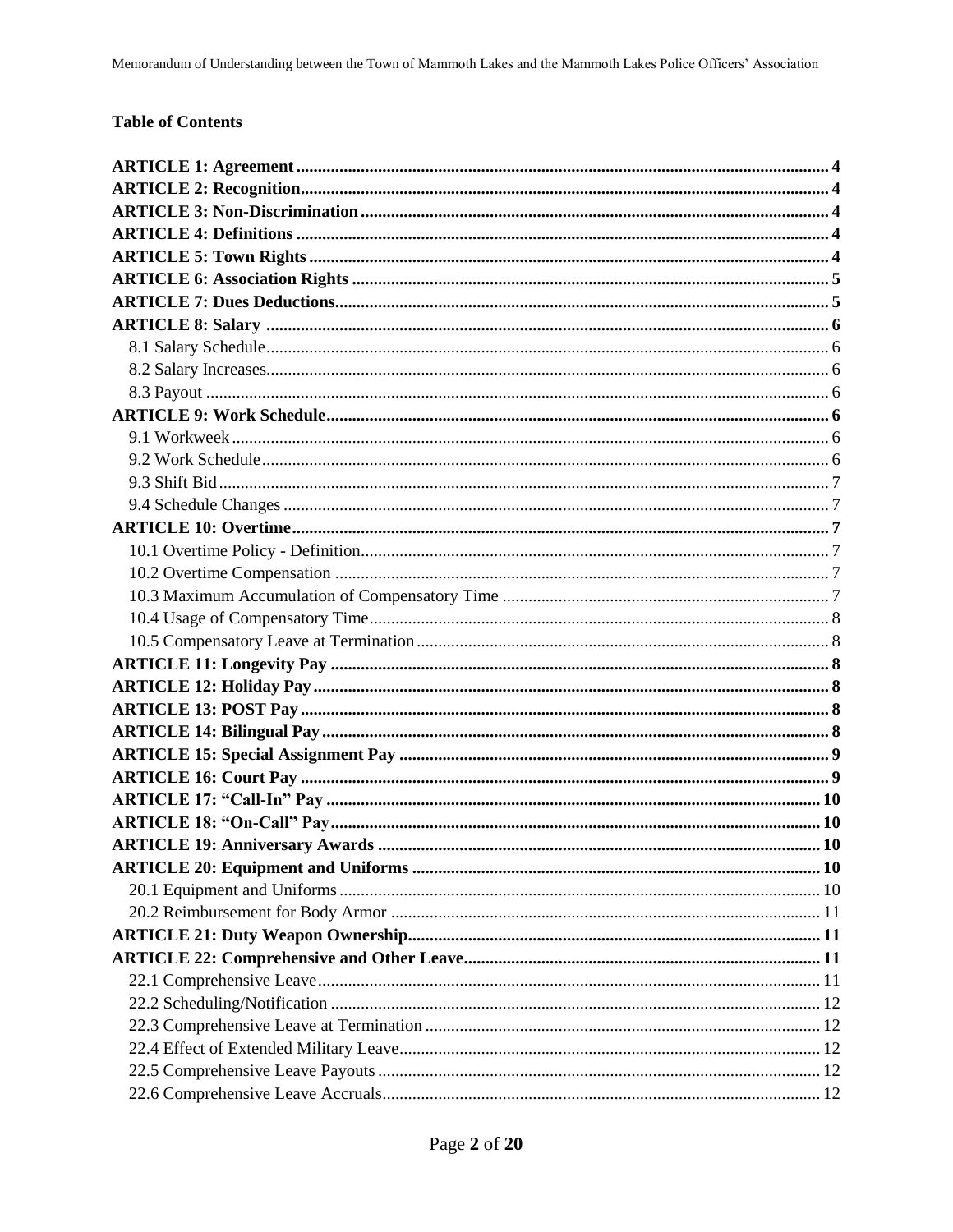# **Table of Contents**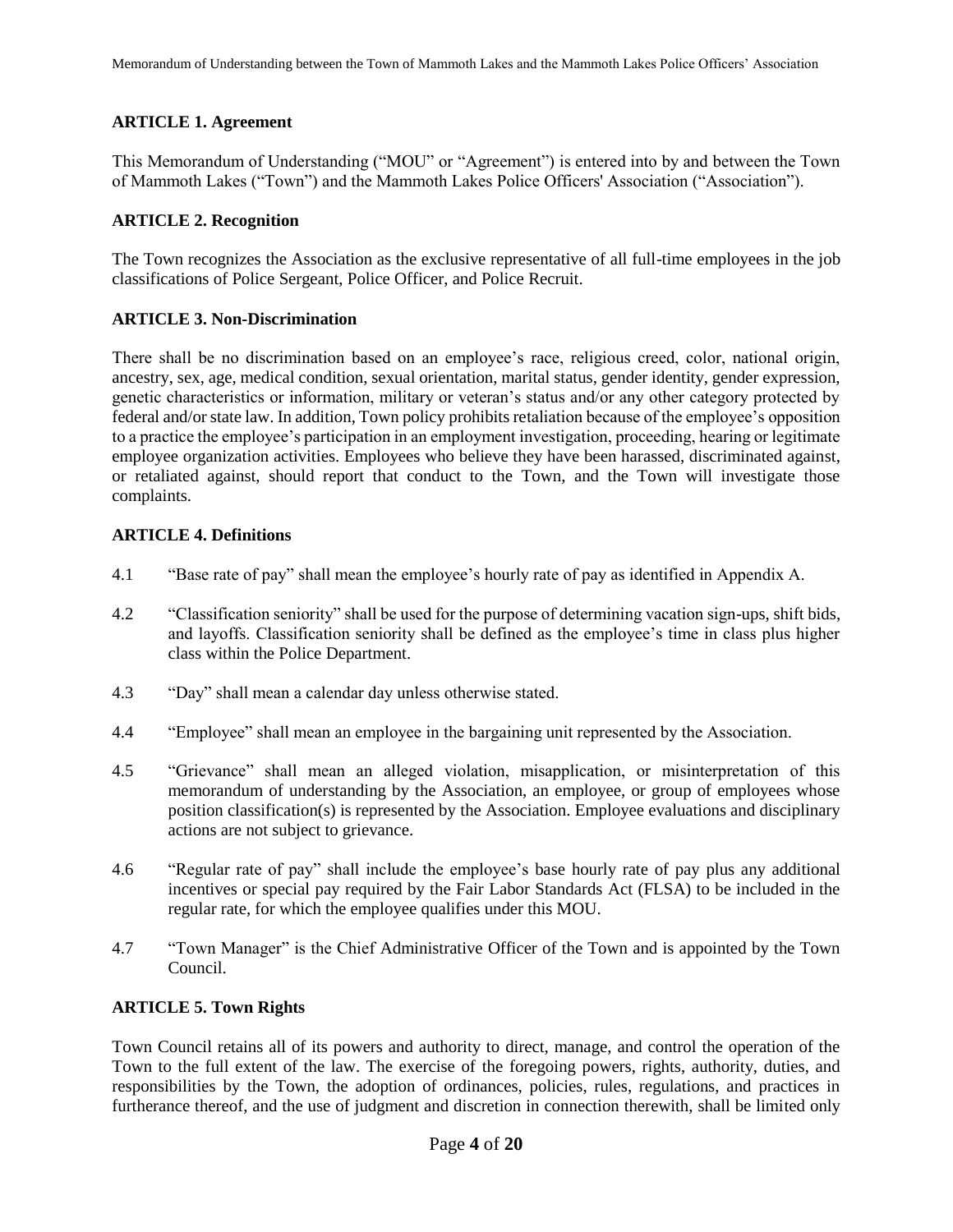# **ARTICLE 1. Agreement**

This Memorandum of Understanding ("MOU" or "Agreement") is entered into by and between the Town of Mammoth Lakes ("Town") and the Mammoth Lakes Police Officers' Association ("Association").

# **ARTICLE 2. Recognition**

The Town recognizes the Association as the exclusive representative of all full-time employees in the job classifications of Police Sergeant, Police Officer, and Police Recruit.

#### **ARTICLE 3. Non-Discrimination**

There shall be no discrimination based on an employee's race, religious creed, color, national origin, ancestry, sex, age, medical condition, sexual orientation, marital status, gender identity, gender expression, genetic characteristics or information, military or veteran's status and/or any other category protected by federal and/or state law. In addition, Town policy prohibits retaliation because of the employee's opposition to a practice the employee's participation in an employment investigation, proceeding, hearing or legitimate employee organization activities. Employees who believe they have been harassed, discriminated against, or retaliated against, should report that conduct to the Town, and the Town will investigate those complaints.

# **ARTICLE 4. Definitions**

- 4.1 "Base rate of pay" shall mean the employee's hourly rate of pay as identified in Appendix A.
- 4.2 "Classification seniority" shall be used for the purpose of determining vacation sign-ups, shift bids, and layoffs. Classification seniority shall be defined as the employee's time in class plus higher class within the Police Department.
- 4.3 "Day" shall mean a calendar day unless otherwise stated.
- 4.4 "Employee" shall mean an employee in the bargaining unit represented by the Association.
- 4.5 "Grievance" shall mean an alleged violation, misapplication, or misinterpretation of this memorandum of understanding by the Association, an employee, or group of employees whose position classification(s) is represented by the Association. Employee evaluations and disciplinary actions are not subject to grievance.
- 4.6 "Regular rate of pay" shall include the employee's base hourly rate of pay plus any additional incentives or special pay required by the Fair Labor Standards Act (FLSA) to be included in the regular rate, for which the employee qualifies under this MOU.
- 4.7 "Town Manager" is the Chief Administrative Officer of the Town and is appointed by the Town Council.

# **ARTICLE 5. Town Rights**

Town Council retains all of its powers and authority to direct, manage, and control the operation of the Town to the full extent of the law. The exercise of the foregoing powers, rights, authority, duties, and responsibilities by the Town, the adoption of ordinances, policies, rules, regulations, and practices in furtherance thereof, and the use of judgment and discretion in connection therewith, shall be limited only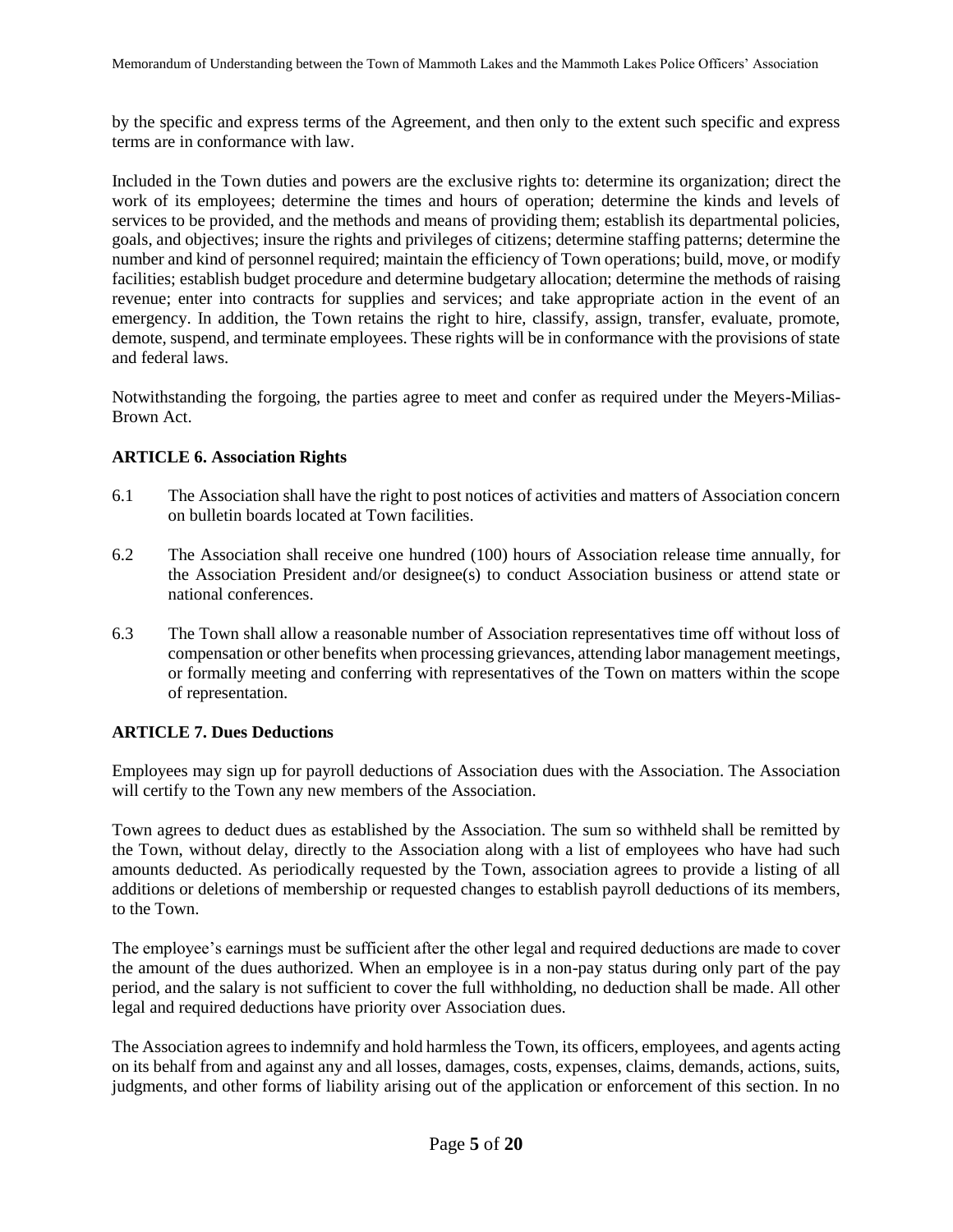by the specific and express terms of the Agreement, and then only to the extent such specific and express terms are in conformance with law.

Included in the Town duties and powers are the exclusive rights to: determine its organization; direct the work of its employees; determine the times and hours of operation; determine the kinds and levels of services to be provided, and the methods and means of providing them; establish its departmental policies, goals, and objectives; insure the rights and privileges of citizens; determine staffing patterns; determine the number and kind of personnel required; maintain the efficiency of Town operations; build, move, or modify facilities; establish budget procedure and determine budgetary allocation; determine the methods of raising revenue; enter into contracts for supplies and services; and take appropriate action in the event of an emergency. In addition, the Town retains the right to hire, classify, assign, transfer, evaluate, promote, demote, suspend, and terminate employees. These rights will be in conformance with the provisions of state and federal laws.

Notwithstanding the forgoing, the parties agree to meet and confer as required under the Meyers-Milias-Brown Act.

# **ARTICLE 6. Association Rights**

- 6.1 The Association shall have the right to post notices of activities and matters of Association concern on bulletin boards located at Town facilities.
- 6.2 The Association shall receive one hundred (100) hours of Association release time annually, for the Association President and/or designee(s) to conduct Association business or attend state or national conferences.
- 6.3 The Town shall allow a reasonable number of Association representatives time off without loss of compensation or other benefits when processing grievances, attending labor management meetings, or formally meeting and conferring with representatives of the Town on matters within the scope of representation.

# **ARTICLE 7. Dues Deductions**

Employees may sign up for payroll deductions of Association dues with the Association. The Association will certify to the Town any new members of the Association.

Town agrees to deduct dues as established by the Association. The sum so withheld shall be remitted by the Town, without delay, directly to the Association along with a list of employees who have had such amounts deducted. As periodically requested by the Town, association agrees to provide a listing of all additions or deletions of membership or requested changes to establish payroll deductions of its members, to the Town.

The employee's earnings must be sufficient after the other legal and required deductions are made to cover the amount of the dues authorized. When an employee is in a non-pay status during only part of the pay period, and the salary is not sufficient to cover the full withholding, no deduction shall be made. All other legal and required deductions have priority over Association dues.

The Association agrees to indemnify and hold harmless the Town, its officers, employees, and agents acting on its behalf from and against any and all losses, damages, costs, expenses, claims, demands, actions, suits, judgments, and other forms of liability arising out of the application or enforcement of this section. In no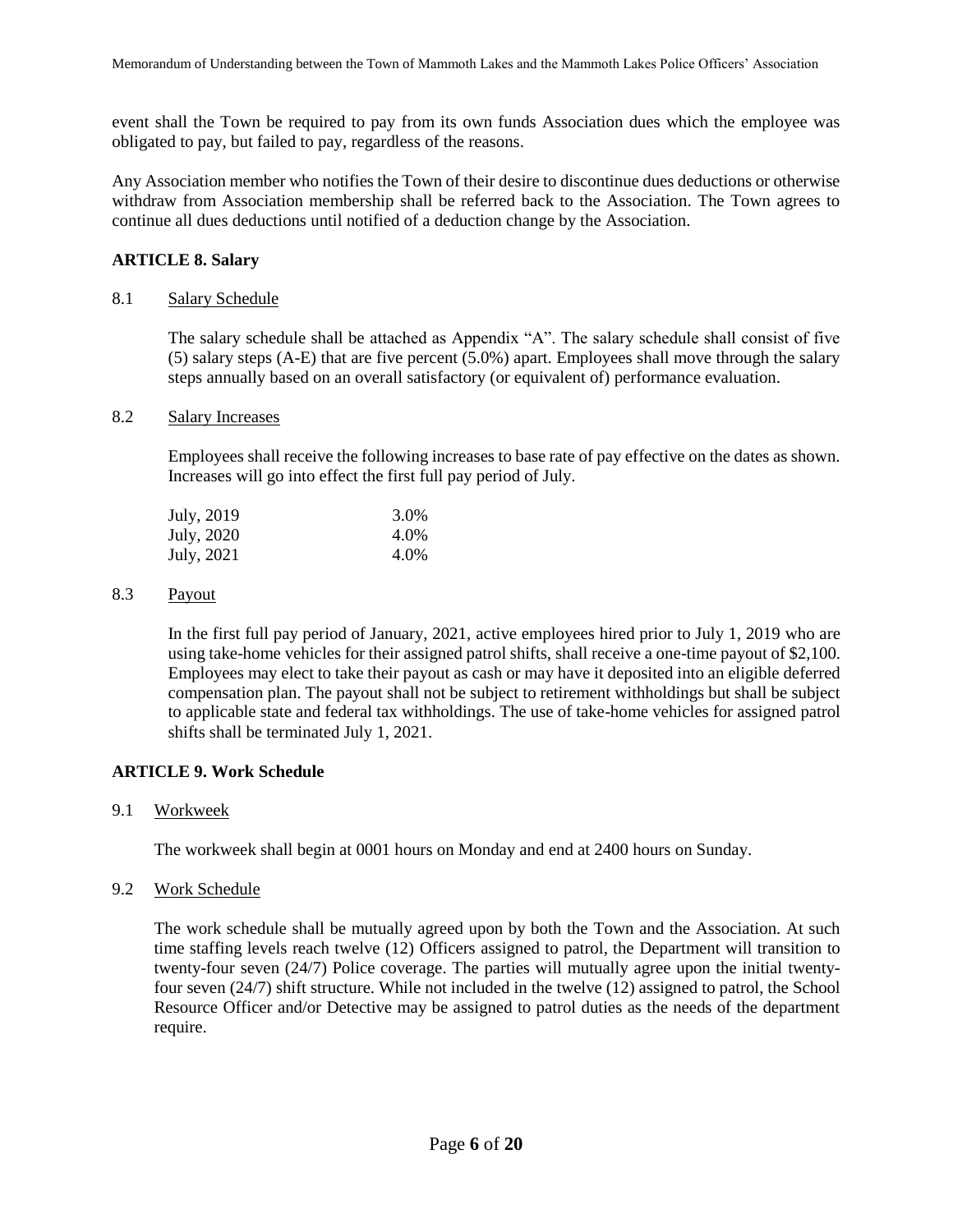event shall the Town be required to pay from its own funds Association dues which the employee was obligated to pay, but failed to pay, regardless of the reasons.

Any Association member who notifies the Town of their desire to discontinue dues deductions or otherwise withdraw from Association membership shall be referred back to the Association. The Town agrees to continue all dues deductions until notified of a deduction change by the Association.

# **ARTICLE 8. Salary**

# 8.1 Salary Schedule

The salary schedule shall be attached as Appendix "A". The salary schedule shall consist of five (5) salary steps (A-E) that are five percent (5.0%) apart. Employees shall move through the salary steps annually based on an overall satisfactory (or equivalent of) performance evaluation.

#### 8.2 Salary Increases

Employees shall receive the following increases to base rate of pay effective on the dates as shown. Increases will go into effect the first full pay period of July.

| July, 2019 | 3.0% |
|------------|------|
| July, 2020 | 4.0% |
| July, 2021 | 4.0% |

#### 8.3 Payout

In the first full pay period of January, 2021, active employees hired prior to July 1, 2019 who are using take-home vehicles for their assigned patrol shifts, shall receive a one-time payout of \$2,100. Employees may elect to take their payout as cash or may have it deposited into an eligible deferred compensation plan. The payout shall not be subject to retirement withholdings but shall be subject to applicable state and federal tax withholdings. The use of take-home vehicles for assigned patrol shifts shall be terminated July 1, 2021.

# **ARTICLE 9. Work Schedule**

# 9.1 Workweek

The workweek shall begin at 0001 hours on Monday and end at 2400 hours on Sunday.

# 9.2 Work Schedule

The work schedule shall be mutually agreed upon by both the Town and the Association. At such time staffing levels reach twelve (12) Officers assigned to patrol, the Department will transition to twenty-four seven (24/7) Police coverage. The parties will mutually agree upon the initial twentyfour seven (24/7) shift structure. While not included in the twelve (12) assigned to patrol, the School Resource Officer and/or Detective may be assigned to patrol duties as the needs of the department require.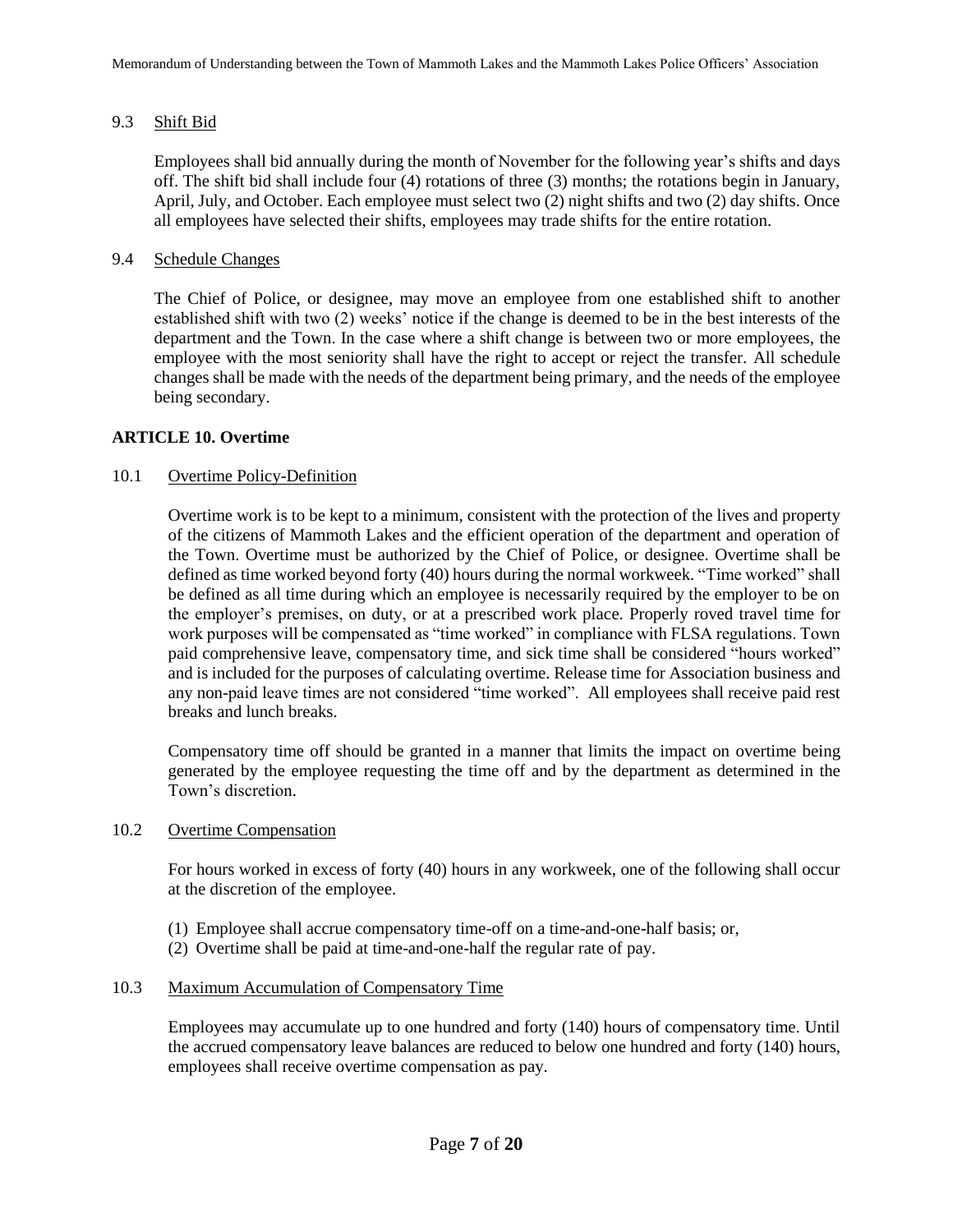# 9.3 Shift Bid

Employees shall bid annually during the month of November for the following year's shifts and days off. The shift bid shall include four (4) rotations of three (3) months; the rotations begin in January, April, July, and October. Each employee must select two (2) night shifts and two (2) day shifts. Once all employees have selected their shifts, employees may trade shifts for the entire rotation.

#### 9.4 Schedule Changes

The Chief of Police, or designee, may move an employee from one established shift to another established shift with two (2) weeks' notice if the change is deemed to be in the best interests of the department and the Town. In the case where a shift change is between two or more employees, the employee with the most seniority shall have the right to accept or reject the transfer. All schedule changes shall be made with the needs of the department being primary, and the needs of the employee being secondary.

# **ARTICLE 10. Overtime**

# 10.1 Overtime Policy-Definition

Overtime work is to be kept to a minimum, consistent with the protection of the lives and property of the citizens of Mammoth Lakes and the efficient operation of the department and operation of the Town. Overtime must be authorized by the Chief of Police, or designee. Overtime shall be defined as time worked beyond forty (40) hours during the normal workweek. "Time worked" shall be defined as all time during which an employee is necessarily required by the employer to be on the employer's premises, on duty, or at a prescribed work place. Properly roved travel time for work purposes will be compensated as "time worked" in compliance with FLSA regulations. Town paid comprehensive leave, compensatory time, and sick time shall be considered "hours worked" and is included for the purposes of calculating overtime. Release time for Association business and any non-paid leave times are not considered "time worked". All employees shall receive paid rest breaks and lunch breaks.

Compensatory time off should be granted in a manner that limits the impact on overtime being generated by the employee requesting the time off and by the department as determined in the Town's discretion.

#### 10.2 Overtime Compensation

For hours worked in excess of forty (40) hours in any workweek, one of the following shall occur at the discretion of the employee.

- (1) Employee shall accrue compensatory time-off on a time-and-one-half basis; or,
- (2) Overtime shall be paid at time-and-one-half the regular rate of pay.

# 10.3 Maximum Accumulation of Compensatory Time

Employees may accumulate up to one hundred and forty (140) hours of compensatory time. Until the accrued compensatory leave balances are reduced to below one hundred and forty (140) hours, employees shall receive overtime compensation as pay.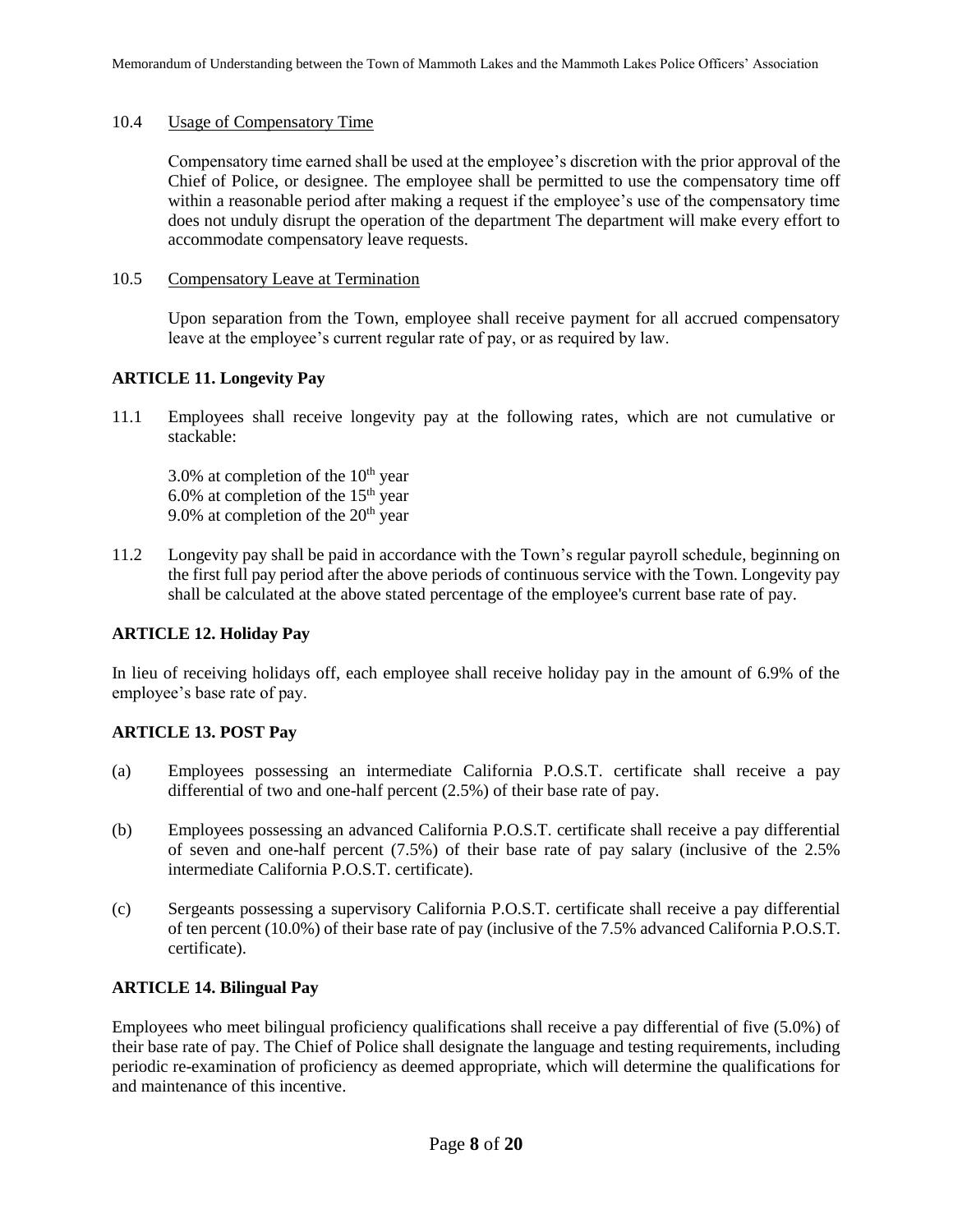# 10.4 Usage of Compensatory Time

Compensatory time earned shall be used at the employee's discretion with the prior approval of the Chief of Police, or designee. The employee shall be permitted to use the compensatory time off within a reasonable period after making a request if the employee's use of the compensatory time does not unduly disrupt the operation of the department The department will make every effort to accommodate compensatory leave requests.

#### 10.5 Compensatory Leave at Termination

Upon separation from the Town, employee shall receive payment for all accrued compensatory leave at the employee's current regular rate of pay, or as required by law.

# **ARTICLE 11. Longevity Pay**

11.1 Employees shall receive longevity pay at the following rates, which are not cumulative or stackable:

3.0% at completion of the  $10<sup>th</sup>$  year 6.0% at completion of the  $15<sup>th</sup>$  year 9.0% at completion of the  $20<sup>th</sup>$  year

11.2 Longevity pay shall be paid in accordance with the Town's regular payroll schedule, beginning on the first full pay period after the above periods of continuous service with the Town. Longevity pay shall be calculated at the above stated percentage of the employee's current base rate of pay.

# **ARTICLE 12. Holiday Pay**

In lieu of receiving holidays off, each employee shall receive holiday pay in the amount of 6.9% of the employee's base rate of pay.

# **ARTICLE 13. POST Pay**

- (a) Employees possessing an intermediate California P.O.S.T. certificate shall receive a pay differential of two and one-half percent (2.5%) of their base rate of pay.
- (b) Employees possessing an advanced California P.O.S.T. certificate shall receive a pay differential of seven and one-half percent (7.5%) of their base rate of pay salary (inclusive of the 2.5% intermediate California P.O.S.T. certificate).
- (c) Sergeants possessing a supervisory California P.O.S.T. certificate shall receive a pay differential of ten percent (10.0%) of their base rate of pay (inclusive of the 7.5% advanced California P.O.S.T. certificate).

# **ARTICLE 14. Bilingual Pay**

Employees who meet bilingual proficiency qualifications shall receive a pay differential of five (5.0%) of their base rate of pay. The Chief of Police shall designate the language and testing requirements, including periodic re-examination of proficiency as deemed appropriate, which will determine the qualifications for and maintenance of this incentive.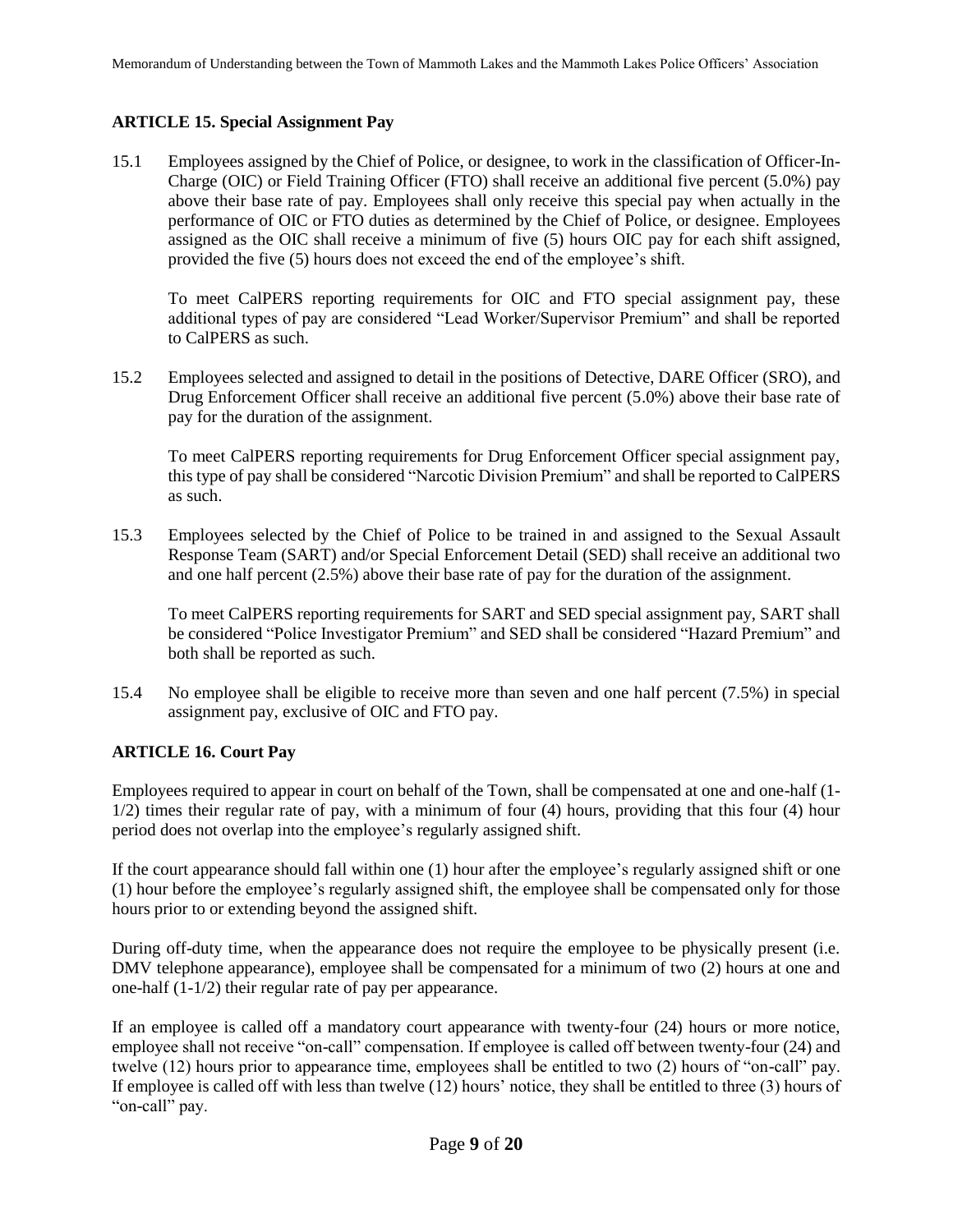# **ARTICLE 15. Special Assignment Pay**

15.1 Employees assigned by the Chief of Police, or designee, to work in the classification of Officer-In-Charge (OIC) or Field Training Officer (FTO) shall receive an additional five percent (5.0%) pay above their base rate of pay. Employees shall only receive this special pay when actually in the performance of OIC or FTO duties as determined by the Chief of Police, or designee. Employees assigned as the OIC shall receive a minimum of five (5) hours OIC pay for each shift assigned, provided the five (5) hours does not exceed the end of the employee's shift.

To meet CalPERS reporting requirements for OIC and FTO special assignment pay, these additional types of pay are considered "Lead Worker/Supervisor Premium" and shall be reported to CalPERS as such.

15.2 Employees selected and assigned to detail in the positions of Detective, DARE Officer (SRO), and Drug Enforcement Officer shall receive an additional five percent (5.0%) above their base rate of pay for the duration of the assignment.

To meet CalPERS reporting requirements for Drug Enforcement Officer special assignment pay, this type of pay shall be considered "Narcotic Division Premium" and shall be reported to CalPERS as such.

15.3 Employees selected by the Chief of Police to be trained in and assigned to the Sexual Assault Response Team (SART) and/or Special Enforcement Detail (SED) shall receive an additional two and one half percent (2.5%) above their base rate of pay for the duration of the assignment.

To meet CalPERS reporting requirements for SART and SED special assignment pay, SART shall be considered "Police Investigator Premium" and SED shall be considered "Hazard Premium" and both shall be reported as such.

15.4 No employee shall be eligible to receive more than seven and one half percent (7.5%) in special assignment pay, exclusive of OIC and FTO pay.

# **ARTICLE 16. Court Pay**

Employees required to appear in court on behalf of the Town, shall be compensated at one and one-half (1- 1/2) times their regular rate of pay, with a minimum of four (4) hours, providing that this four (4) hour period does not overlap into the employee's regularly assigned shift.

If the court appearance should fall within one (1) hour after the employee's regularly assigned shift or one (1) hour before the employee's regularly assigned shift, the employee shall be compensated only for those hours prior to or extending beyond the assigned shift.

During off-duty time, when the appearance does not require the employee to be physically present (i.e. DMV telephone appearance), employee shall be compensated for a minimum of two (2) hours at one and one-half (1-1/2) their regular rate of pay per appearance.

If an employee is called off a mandatory court appearance with twenty-four (24) hours or more notice, employee shall not receive "on-call" compensation. If employee is called off between twenty-four (24) and twelve (12) hours prior to appearance time, employees shall be entitled to two (2) hours of "on-call" pay. If employee is called off with less than twelve (12) hours' notice, they shall be entitled to three (3) hours of "on-call" pay.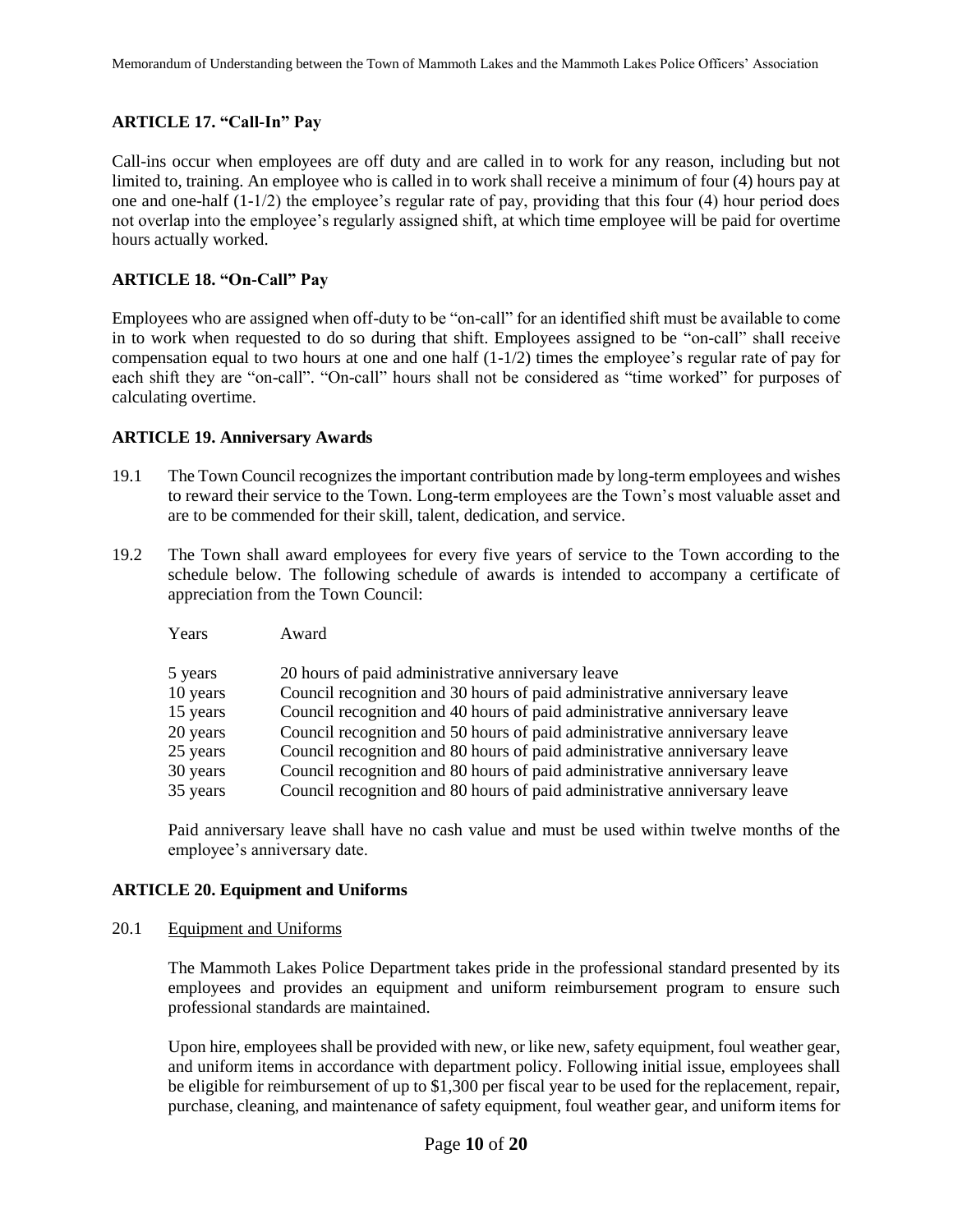# **ARTICLE 17. "Call-In" Pay**

Call-ins occur when employees are off duty and are called in to work for any reason, including but not limited to, training. An employee who is called in to work shall receive a minimum of four (4) hours pay at one and one-half  $(1-1/2)$  the employee's regular rate of pay, providing that this four (4) hour period does not overlap into the employee's regularly assigned shift, at which time employee will be paid for overtime hours actually worked.

# **ARTICLE 18. "On-Call" Pay**

Employees who are assigned when off-duty to be "on-call" for an identified shift must be available to come in to work when requested to do so during that shift. Employees assigned to be "on-call" shall receive compensation equal to two hours at one and one half  $(1-1/2)$  times the employee's regular rate of pay for each shift they are "on-call". "On-call" hours shall not be considered as "time worked" for purposes of calculating overtime.

#### **ARTICLE 19. Anniversary Awards**

- 19.1 The Town Council recognizes the important contribution made by long-term employees and wishes to reward their service to the Town. Long-term employees are the Town's most valuable asset and are to be commended for their skill, talent, dedication, and service.
- 19.2 The Town shall award employees for every five years of service to the Town according to the schedule below. The following schedule of awards is intended to accompany a certificate of appreciation from the Town Council:
	- Years Award

| 5 years  | 20 hours of paid administrative anniversary leave                         |
|----------|---------------------------------------------------------------------------|
| 10 years | Council recognition and 30 hours of paid administrative anniversary leave |
| 15 years | Council recognition and 40 hours of paid administrative anniversary leave |
| 20 years | Council recognition and 50 hours of paid administrative anniversary leave |
| 25 years | Council recognition and 80 hours of paid administrative anniversary leave |
| 30 years | Council recognition and 80 hours of paid administrative anniversary leave |
| 35 years | Council recognition and 80 hours of paid administrative anniversary leave |

Paid anniversary leave shall have no cash value and must be used within twelve months of the employee's anniversary date.

# **ARTICLE 20. Equipment and Uniforms**

20.1 Equipment and Uniforms

The Mammoth Lakes Police Department takes pride in the professional standard presented by its employees and provides an equipment and uniform reimbursement program to ensure such professional standards are maintained.

Upon hire, employees shall be provided with new, or like new, safety equipment, foul weather gear, and uniform items in accordance with department policy. Following initial issue, employees shall be eligible for reimbursement of up to \$1,300 per fiscal year to be used for the replacement, repair, purchase, cleaning, and maintenance of safety equipment, foul weather gear, and uniform items for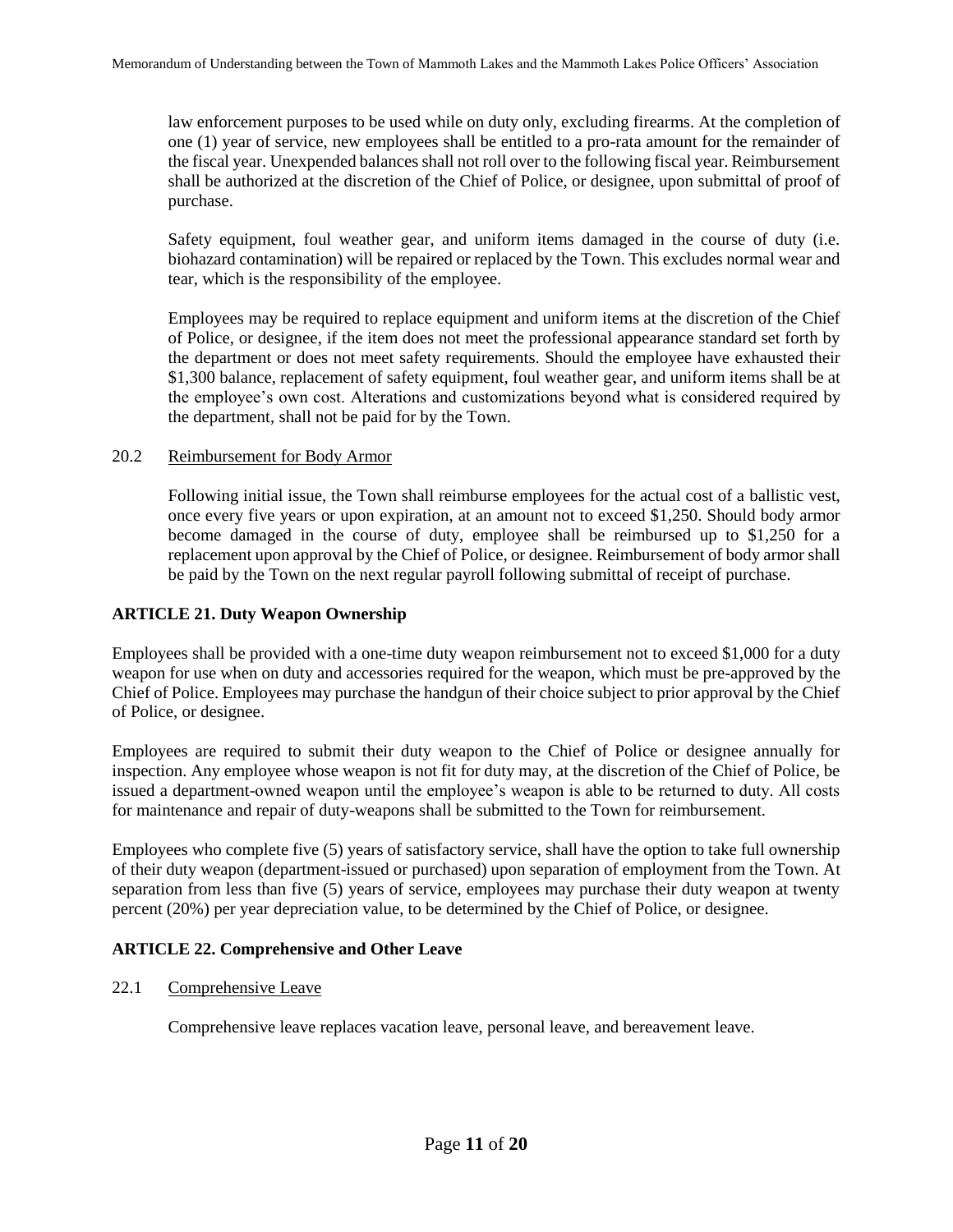law enforcement purposes to be used while on duty only, excluding firearms. At the completion of one (1) year of service, new employees shall be entitled to a pro-rata amount for the remainder of the fiscal year. Unexpended balances shall not roll over to the following fiscal year. Reimbursement shall be authorized at the discretion of the Chief of Police, or designee, upon submittal of proof of purchase.

Safety equipment, foul weather gear, and uniform items damaged in the course of duty (i.e. biohazard contamination) will be repaired or replaced by the Town. This excludes normal wear and tear, which is the responsibility of the employee.

Employees may be required to replace equipment and uniform items at the discretion of the Chief of Police, or designee, if the item does not meet the professional appearance standard set forth by the department or does not meet safety requirements. Should the employee have exhausted their \$1,300 balance, replacement of safety equipment, foul weather gear, and uniform items shall be at the employee's own cost. Alterations and customizations beyond what is considered required by the department, shall not be paid for by the Town.

#### 20.2 Reimbursement for Body Armor

Following initial issue, the Town shall reimburse employees for the actual cost of a ballistic vest, once every five years or upon expiration, at an amount not to exceed \$1,250. Should body armor become damaged in the course of duty, employee shall be reimbursed up to \$1,250 for a replacement upon approval by the Chief of Police, or designee. Reimbursement of body armor shall be paid by the Town on the next regular payroll following submittal of receipt of purchase.

# **ARTICLE 21. Duty Weapon Ownership**

Employees shall be provided with a one-time duty weapon reimbursement not to exceed \$1,000 for a duty weapon for use when on duty and accessories required for the weapon, which must be pre-approved by the Chief of Police. Employees may purchase the handgun of their choice subject to prior approval by the Chief of Police, or designee.

Employees are required to submit their duty weapon to the Chief of Police or designee annually for inspection. Any employee whose weapon is not fit for duty may, at the discretion of the Chief of Police, be issued a department-owned weapon until the employee's weapon is able to be returned to duty. All costs for maintenance and repair of duty-weapons shall be submitted to the Town for reimbursement.

Employees who complete five (5) years of satisfactory service, shall have the option to take full ownership of their duty weapon (department-issued or purchased) upon separation of employment from the Town. At separation from less than five (5) years of service, employees may purchase their duty weapon at twenty percent (20%) per year depreciation value, to be determined by the Chief of Police, or designee.

# **ARTICLE 22. Comprehensive and Other Leave**

# 22.1 Comprehensive Leave

Comprehensive leave replaces vacation leave, personal leave, and bereavement leave.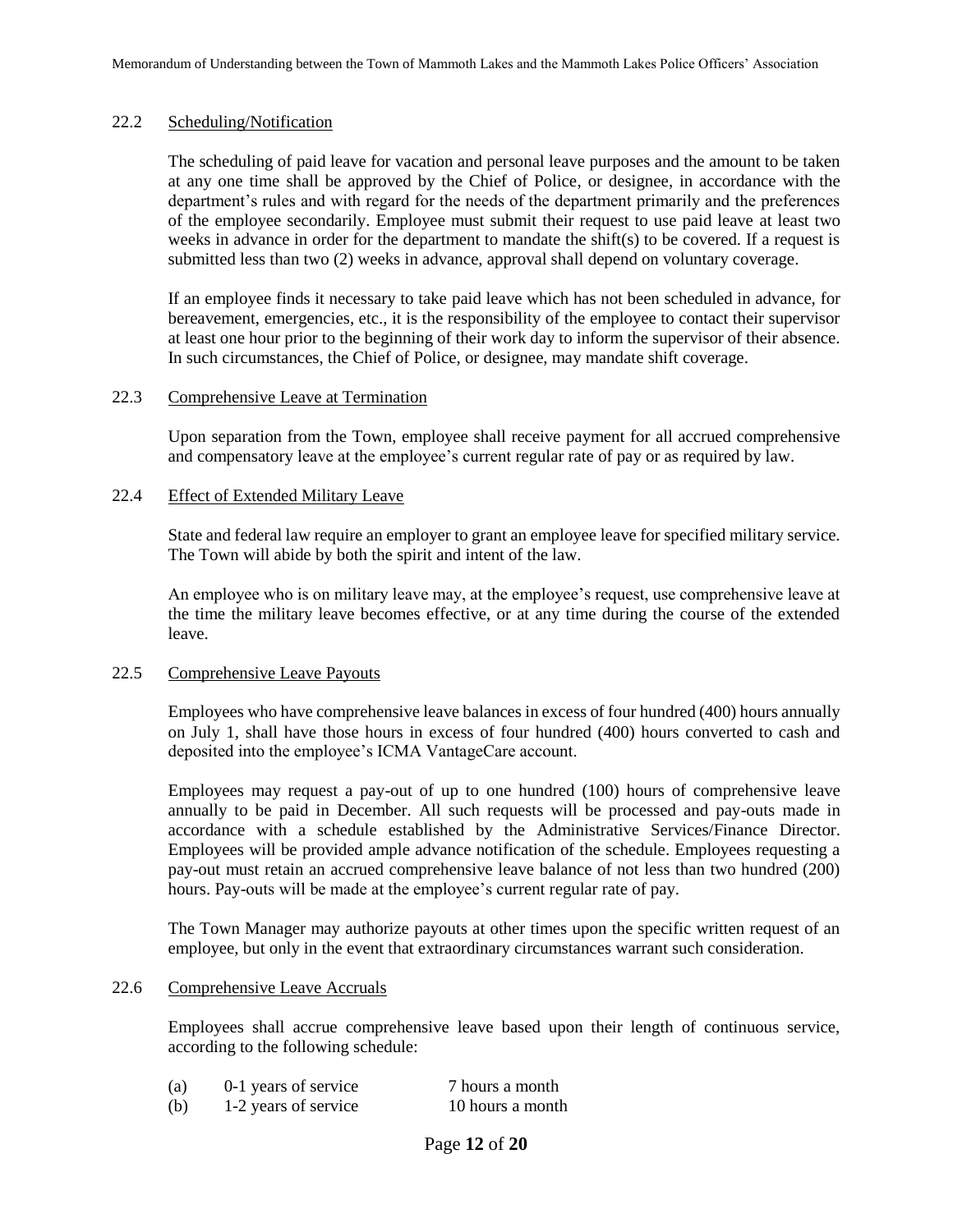# 22.2 Scheduling/Notification

The scheduling of paid leave for vacation and personal leave purposes and the amount to be taken at any one time shall be approved by the Chief of Police, or designee, in accordance with the department's rules and with regard for the needs of the department primarily and the preferences of the employee secondarily. Employee must submit their request to use paid leave at least two weeks in advance in order for the department to mandate the shift(s) to be covered. If a request is submitted less than two (2) weeks in advance, approval shall depend on voluntary coverage.

If an employee finds it necessary to take paid leave which has not been scheduled in advance, for bereavement, emergencies, etc., it is the responsibility of the employee to contact their supervisor at least one hour prior to the beginning of their work day to inform the supervisor of their absence. In such circumstances, the Chief of Police, or designee, may mandate shift coverage.

#### 22.3 Comprehensive Leave at Termination

Upon separation from the Town, employee shall receive payment for all accrued comprehensive and compensatory leave at the employee's current regular rate of pay or as required by law.

#### 22.4 Effect of Extended Military Leave

State and federal law require an employer to grant an employee leave for specified military service. The Town will abide by both the spirit and intent of the law.

An employee who is on military leave may, at the employee's request, use comprehensive leave at the time the military leave becomes effective, or at any time during the course of the extended leave.

#### 22.5 Comprehensive Leave Payouts

Employees who have comprehensive leave balances in excess of four hundred (400) hours annually on July 1, shall have those hours in excess of four hundred (400) hours converted to cash and deposited into the employee's ICMA VantageCare account.

Employees may request a pay-out of up to one hundred (100) hours of comprehensive leave annually to be paid in December. All such requests will be processed and pay-outs made in accordance with a schedule established by the Administrative Services/Finance Director. Employees will be provided ample advance notification of the schedule. Employees requesting a pay-out must retain an accrued comprehensive leave balance of not less than two hundred (200) hours. Pay-outs will be made at the employee's current regular rate of pay.

The Town Manager may authorize payouts at other times upon the specific written request of an employee, but only in the event that extraordinary circumstances warrant such consideration.

#### 22.6 Comprehensive Leave Accruals

Employees shall accrue comprehensive leave based upon their length of continuous service, according to the following schedule:

| (a) | 0-1 years of service | 7 hours a month  |
|-----|----------------------|------------------|
| (b) | 1-2 years of service | 10 hours a month |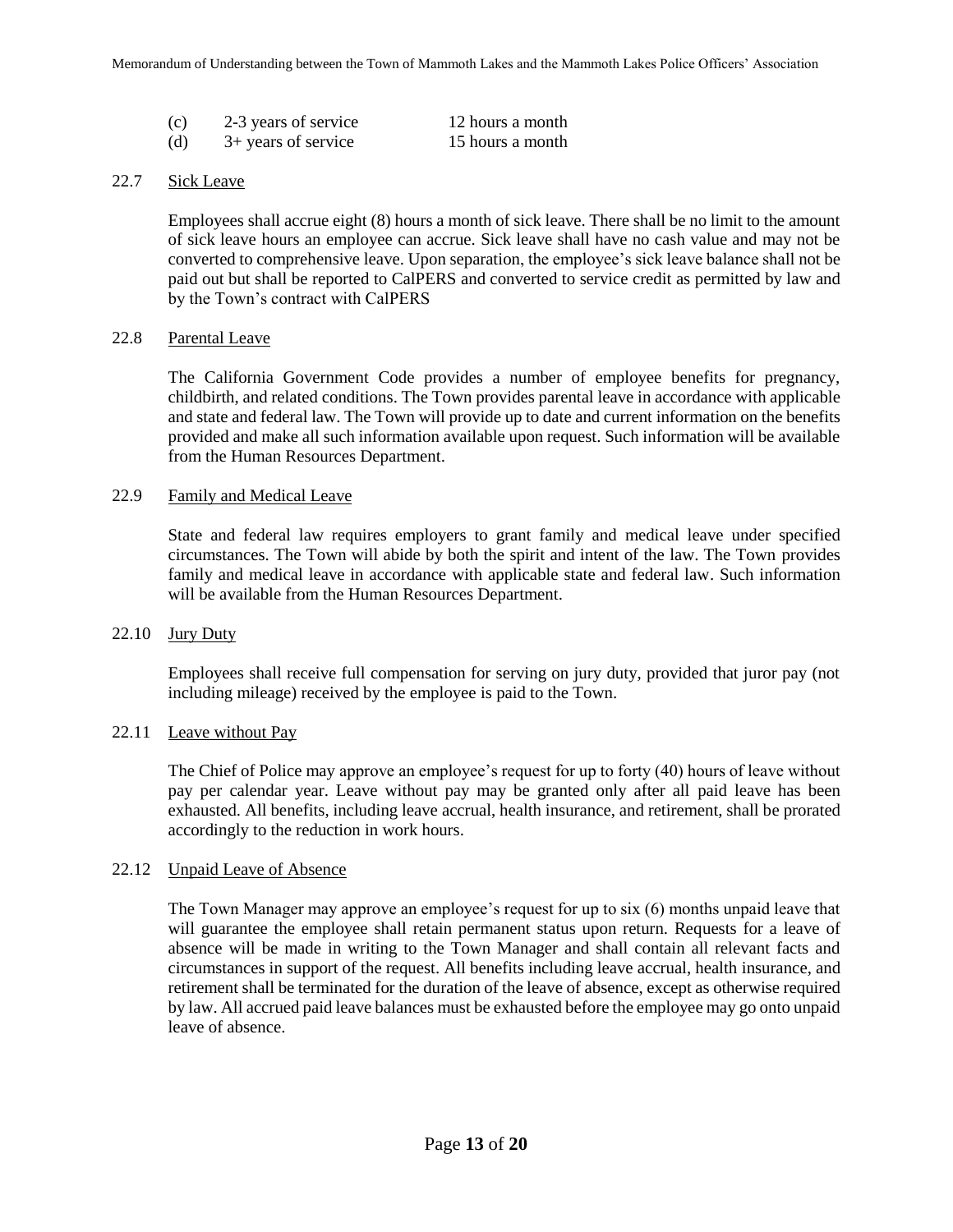| (c) | 2-3 years of service  | 12 hours a month |
|-----|-----------------------|------------------|
| (d) | $3+$ years of service | 15 hours a month |

#### 22.7 Sick Leave

Employees shall accrue eight (8) hours a month of sick leave. There shall be no limit to the amount of sick leave hours an employee can accrue. Sick leave shall have no cash value and may not be converted to comprehensive leave. Upon separation, the employee's sick leave balance shall not be paid out but shall be reported to CalPERS and converted to service credit as permitted by law and by the Town's contract with CalPERS

#### 22.8 Parental Leave

The California Government Code provides a number of employee benefits for pregnancy, childbirth, and related conditions. The Town provides parental leave in accordance with applicable and state and federal law. The Town will provide up to date and current information on the benefits provided and make all such information available upon request. Such information will be available from the Human Resources Department.

# 22.9 Family and Medical Leave

State and federal law requires employers to grant family and medical leave under specified circumstances. The Town will abide by both the spirit and intent of the law. The Town provides family and medical leave in accordance with applicable state and federal law. Such information will be available from the Human Resources Department.

#### $22.10$  Jury Duty

Employees shall receive full compensation for serving on jury duty, provided that juror pay (not including mileage) received by the employee is paid to the Town.

#### 22.11 Leave without Pay

The Chief of Police may approve an employee's request for up to forty (40) hours of leave without pay per calendar year. Leave without pay may be granted only after all paid leave has been exhausted. All benefits, including leave accrual, health insurance, and retirement, shall be prorated accordingly to the reduction in work hours.

#### 22.12 Unpaid Leave of Absence

The Town Manager may approve an employee's request for up to six (6) months unpaid leave that will guarantee the employee shall retain permanent status upon return. Requests for a leave of absence will be made in writing to the Town Manager and shall contain all relevant facts and circumstances in support of the request. All benefits including leave accrual, health insurance, and retirement shall be terminated for the duration of the leave of absence, except as otherwise required by law. All accrued paid leave balances must be exhausted before the employee may go onto unpaid leave of absence.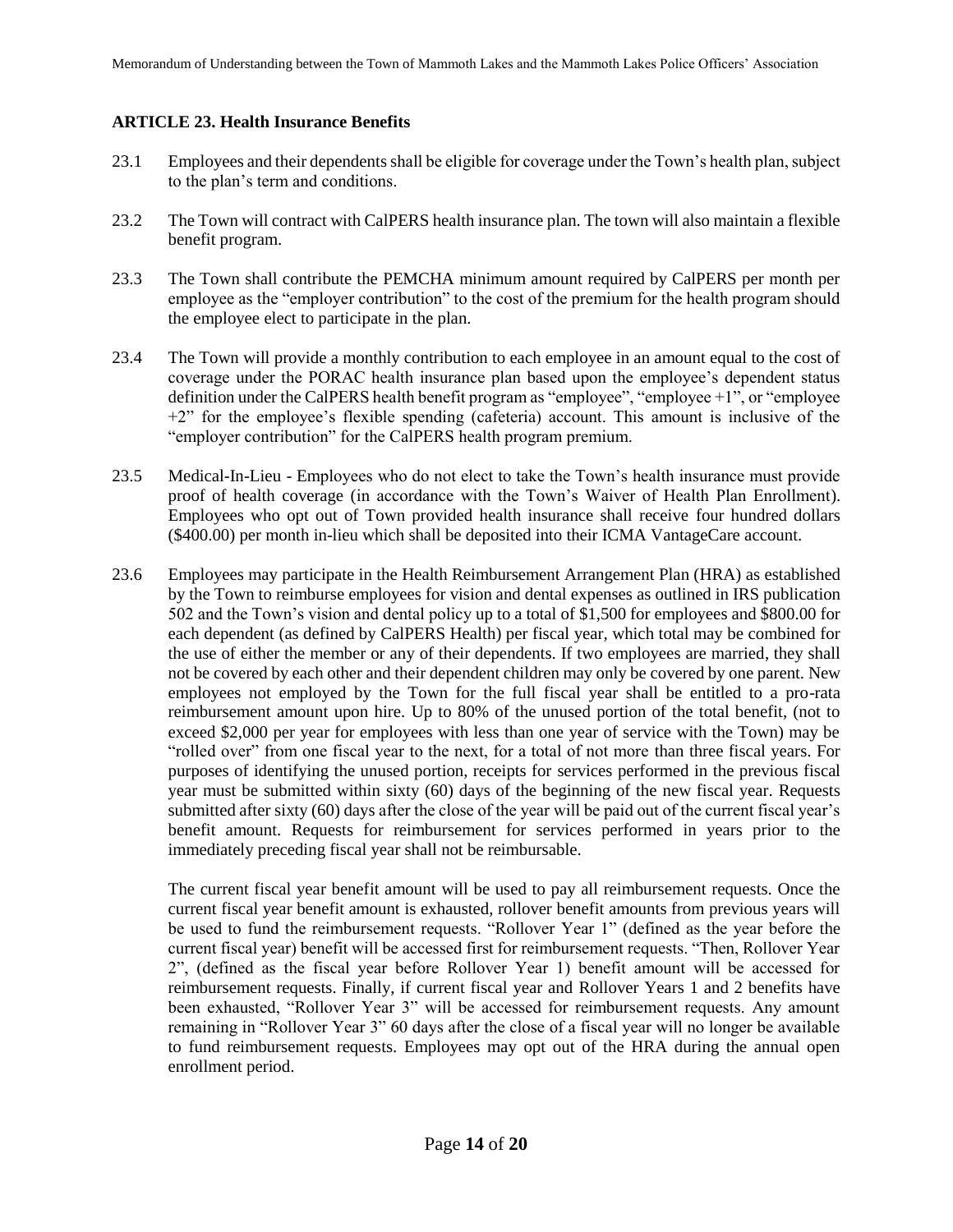# **ARTICLE 23. Health Insurance Benefits**

- 23.1 Employees and their dependents shall be eligible for coverage under the Town's health plan, subject to the plan's term and conditions.
- 23.2 The Town will contract with CalPERS health insurance plan. The town will also maintain a flexible benefit program.
- 23.3 The Town shall contribute the PEMCHA minimum amount required by CalPERS per month per employee as the "employer contribution" to the cost of the premium for the health program should the employee elect to participate in the plan.
- 23.4 The Town will provide a monthly contribution to each employee in an amount equal to the cost of coverage under the PORAC health insurance plan based upon the employee's dependent status definition under the CalPERS health benefit program as "employee", "employee +1", or "employee +2" for the employee's flexible spending (cafeteria) account. This amount is inclusive of the "employer contribution" for the CalPERS health program premium.
- 23.5 Medical-In-Lieu Employees who do not elect to take the Town's health insurance must provide proof of health coverage (in accordance with the Town's Waiver of Health Plan Enrollment). Employees who opt out of Town provided health insurance shall receive four hundred dollars (\$400.00) per month in-lieu which shall be deposited into their ICMA VantageCare account.
- 23.6 Employees may participate in the Health Reimbursement Arrangement Plan (HRA) as established by the Town to reimburse employees for vision and dental expenses as outlined in IRS publication 502 and the Town's vision and dental policy up to a total of \$1,500 for employees and \$800.00 for each dependent (as defined by CalPERS Health) per fiscal year, which total may be combined for the use of either the member or any of their dependents. If two employees are married, they shall not be covered by each other and their dependent children may only be covered by one parent. New employees not employed by the Town for the full fiscal year shall be entitled to a pro-rata reimbursement amount upon hire. Up to 80% of the unused portion of the total benefit, (not to exceed \$2,000 per year for employees with less than one year of service with the Town) may be "rolled over" from one fiscal year to the next, for a total of not more than three fiscal years. For purposes of identifying the unused portion, receipts for services performed in the previous fiscal year must be submitted within sixty (60) days of the beginning of the new fiscal year. Requests submitted after sixty (60) days after the close of the year will be paid out of the current fiscal year's benefit amount. Requests for reimbursement for services performed in years prior to the immediately preceding fiscal year shall not be reimbursable.

The current fiscal year benefit amount will be used to pay all reimbursement requests. Once the current fiscal year benefit amount is exhausted, rollover benefit amounts from previous years will be used to fund the reimbursement requests. "Rollover Year 1" (defined as the year before the current fiscal year) benefit will be accessed first for reimbursement requests. "Then, Rollover Year 2", (defined as the fiscal year before Rollover Year 1) benefit amount will be accessed for reimbursement requests. Finally, if current fiscal year and Rollover Years 1 and 2 benefits have been exhausted, "Rollover Year 3" will be accessed for reimbursement requests. Any amount remaining in "Rollover Year 3" 60 days after the close of a fiscal year will no longer be available to fund reimbursement requests. Employees may opt out of the HRA during the annual open enrollment period.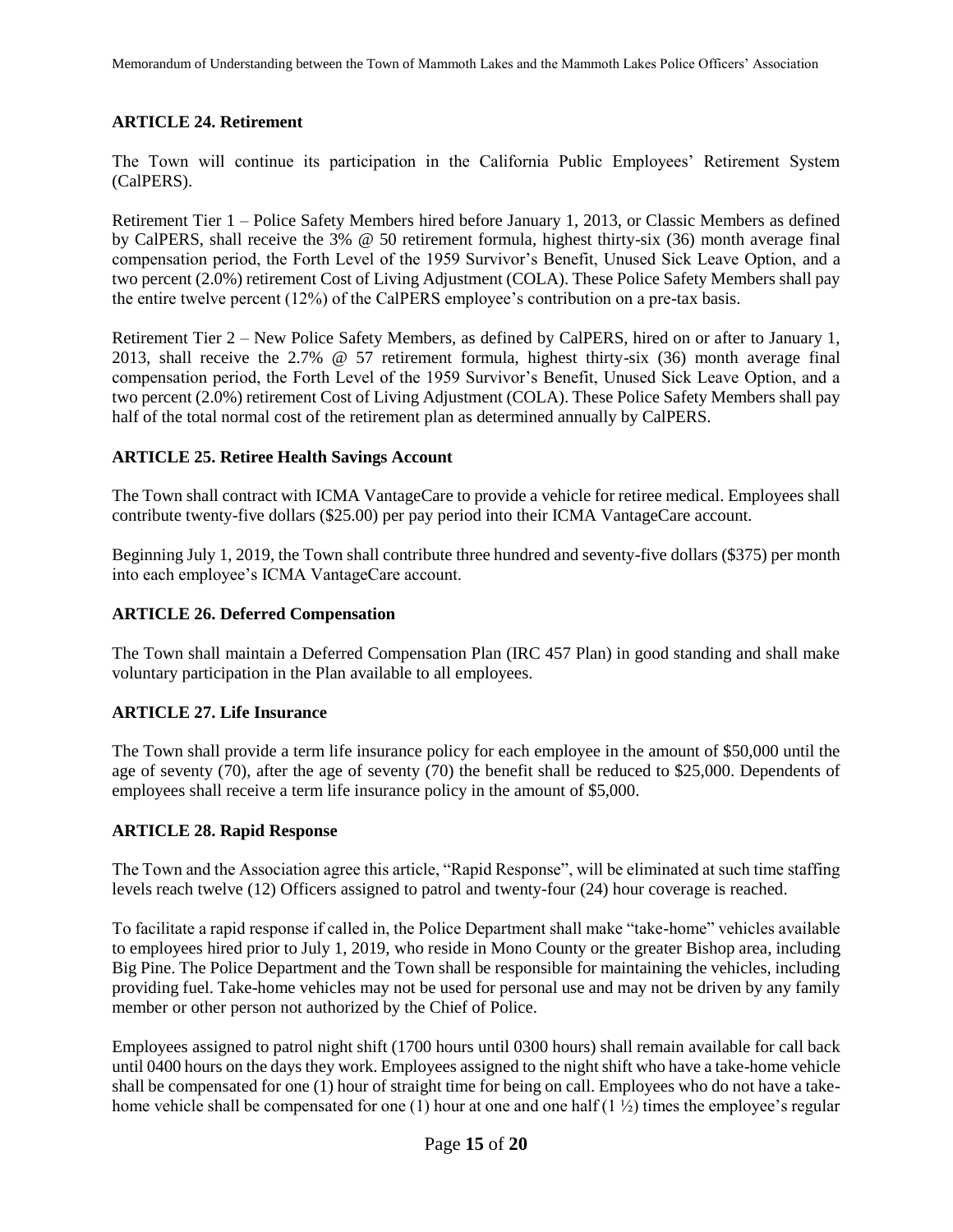# **ARTICLE 24. Retirement**

The Town will continue its participation in the California Public Employees' Retirement System (CalPERS).

Retirement Tier 1 – Police Safety Members hired before January 1, 2013, or Classic Members as defined by CalPERS, shall receive the 3% @ 50 retirement formula, highest thirty-six (36) month average final compensation period, the Forth Level of the 1959 Survivor's Benefit, Unused Sick Leave Option, and a two percent (2.0%) retirement Cost of Living Adjustment (COLA). These Police Safety Members shall pay the entire twelve percent (12%) of the CalPERS employee's contribution on a pre-tax basis.

Retirement Tier 2 – New Police Safety Members, as defined by CalPERS, hired on or after to January 1, 2013, shall receive the 2.7% @ 57 retirement formula, highest thirty-six (36) month average final compensation period, the Forth Level of the 1959 Survivor's Benefit, Unused Sick Leave Option, and a two percent (2.0%) retirement Cost of Living Adjustment (COLA). These Police Safety Members shall pay half of the total normal cost of the retirement plan as determined annually by CalPERS.

# **ARTICLE 25. Retiree Health Savings Account**

The Town shall contract with ICMA VantageCare to provide a vehicle for retiree medical. Employees shall contribute twenty-five dollars (\$25.00) per pay period into their ICMA VantageCare account.

Beginning July 1, 2019, the Town shall contribute three hundred and seventy-five dollars (\$375) per month into each employee's ICMA VantageCare account.

#### **ARTICLE 26. Deferred Compensation**

The Town shall maintain a Deferred Compensation Plan (IRC 457 Plan) in good standing and shall make voluntary participation in the Plan available to all employees.

# **ARTICLE 27. Life Insurance**

The Town shall provide a term life insurance policy for each employee in the amount of \$50,000 until the age of seventy  $(70)$ , after the age of seventy  $(70)$  the benefit shall be reduced to \$25,000. Dependents of employees shall receive a term life insurance policy in the amount of \$5,000.

# **ARTICLE 28. Rapid Response**

The Town and the Association agree this article, "Rapid Response", will be eliminated at such time staffing levels reach twelve (12) Officers assigned to patrol and twenty-four (24) hour coverage is reached.

To facilitate a rapid response if called in, the Police Department shall make "take-home" vehicles available to employees hired prior to July 1, 2019, who reside in Mono County or the greater Bishop area, including Big Pine. The Police Department and the Town shall be responsible for maintaining the vehicles, including providing fuel. Take-home vehicles may not be used for personal use and may not be driven by any family member or other person not authorized by the Chief of Police.

Employees assigned to patrol night shift (1700 hours until 0300 hours) shall remain available for call back until 0400 hours on the days they work. Employees assigned to the night shift who have a take-home vehicle shall be compensated for one (1) hour of straight time for being on call. Employees who do not have a takehome vehicle shall be compensated for one (1) hour at one and one half  $(1 \frac{1}{2})$  times the employee's regular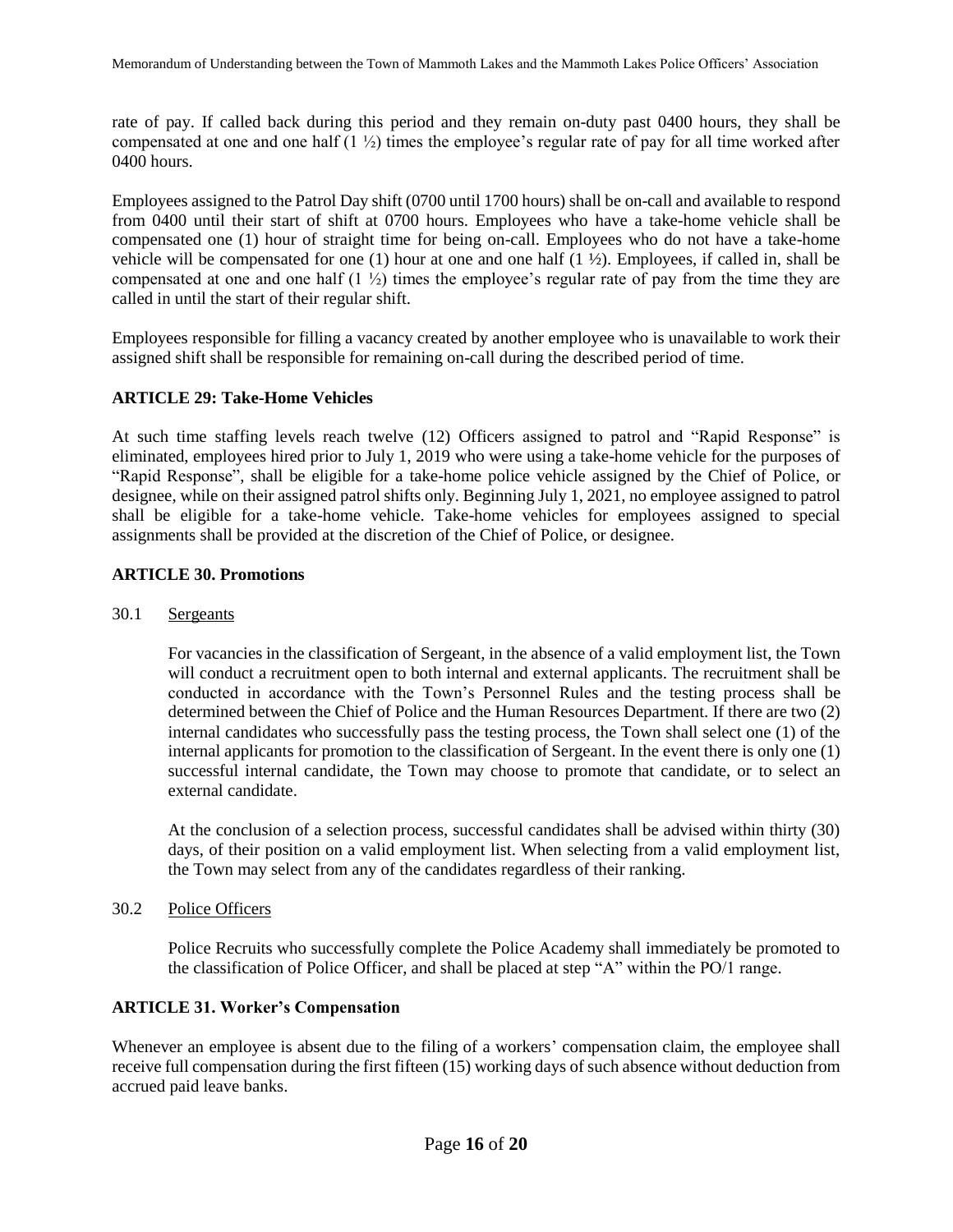rate of pay. If called back during this period and they remain on-duty past 0400 hours, they shall be compensated at one and one half  $(1 \frac{1}{2})$  times the employee's regular rate of pay for all time worked after 0400 hours.

Employees assigned to the Patrol Day shift (0700 until 1700 hours) shall be on-call and available to respond from 0400 until their start of shift at 0700 hours. Employees who have a take-home vehicle shall be compensated one (1) hour of straight time for being on-call. Employees who do not have a take-home vehicle will be compensated for one (1) hour at one and one half  $(1 \frac{1}{2})$ . Employees, if called in, shall be compensated at one and one half  $(1 \frac{1}{2})$  times the employee's regular rate of pay from the time they are called in until the start of their regular shift.

Employees responsible for filling a vacancy created by another employee who is unavailable to work their assigned shift shall be responsible for remaining on-call during the described period of time.

# **ARTICLE 29: Take-Home Vehicles**

At such time staffing levels reach twelve (12) Officers assigned to patrol and "Rapid Response" is eliminated, employees hired prior to July 1, 2019 who were using a take-home vehicle for the purposes of "Rapid Response", shall be eligible for a take-home police vehicle assigned by the Chief of Police, or designee, while on their assigned patrol shifts only. Beginning July 1, 2021, no employee assigned to patrol shall be eligible for a take-home vehicle. Take-home vehicles for employees assigned to special assignments shall be provided at the discretion of the Chief of Police, or designee.

# **ARTICLE 30. Promotions**

# 30.1 Sergeants

For vacancies in the classification of Sergeant, in the absence of a valid employment list, the Town will conduct a recruitment open to both internal and external applicants. The recruitment shall be conducted in accordance with the Town's Personnel Rules and the testing process shall be determined between the Chief of Police and the Human Resources Department. If there are two (2) internal candidates who successfully pass the testing process, the Town shall select one (1) of the internal applicants for promotion to the classification of Sergeant. In the event there is only one (1) successful internal candidate, the Town may choose to promote that candidate, or to select an external candidate.

At the conclusion of a selection process, successful candidates shall be advised within thirty (30) days, of their position on a valid employment list. When selecting from a valid employment list, the Town may select from any of the candidates regardless of their ranking.

# 30.2 Police Officers

Police Recruits who successfully complete the Police Academy shall immediately be promoted to the classification of Police Officer, and shall be placed at step "A" within the PO/1 range.

# **ARTICLE 31. Worker's Compensation**

Whenever an employee is absent due to the filing of a workers' compensation claim, the employee shall receive full compensation during the first fifteen (15) working days of such absence without deduction from accrued paid leave banks.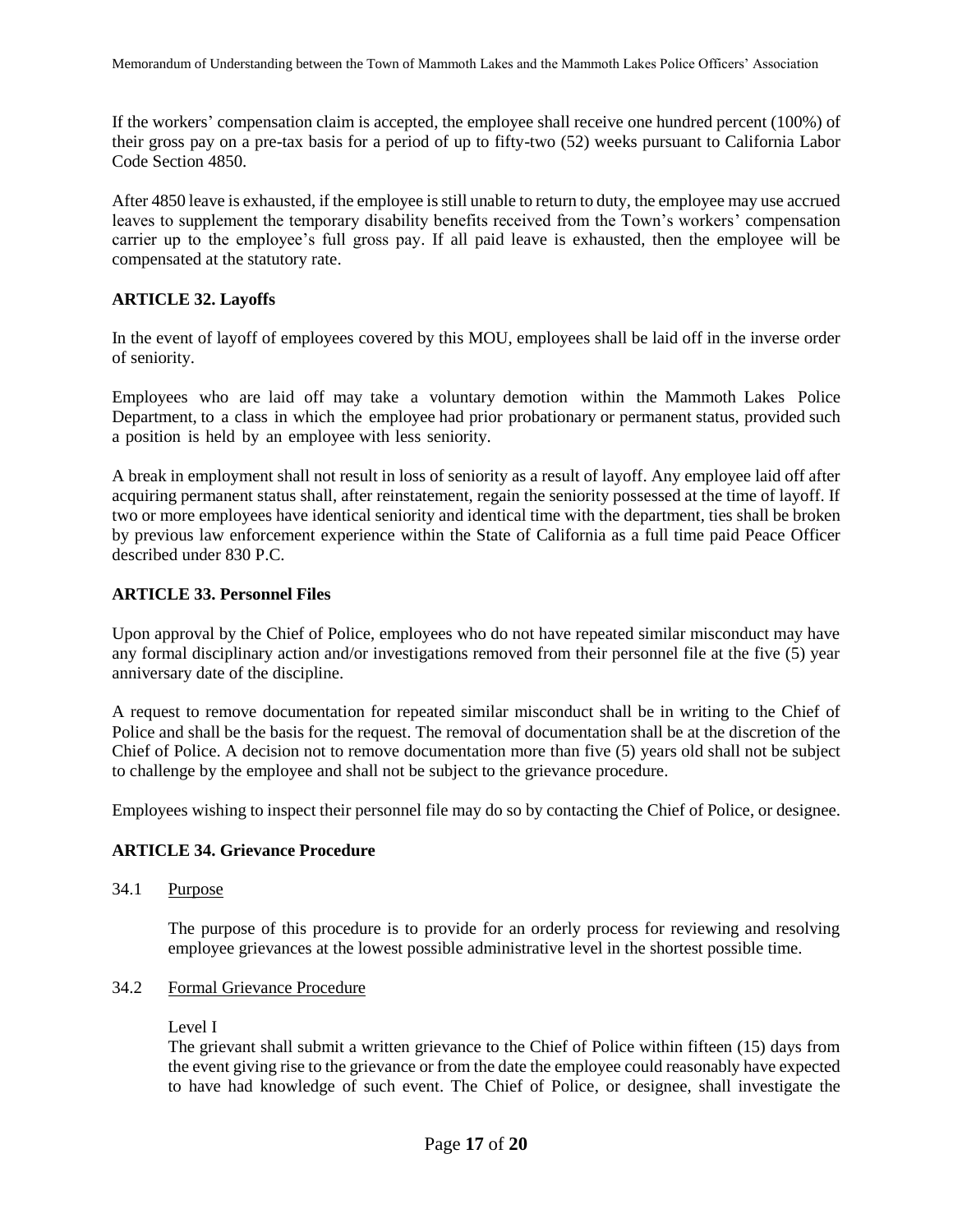If the workers' compensation claim is accepted, the employee shall receive one hundred percent (100%) of their gross pay on a pre-tax basis for a period of up to fifty-two (52) weeks pursuant to California Labor Code Section 4850.

After 4850 leave is exhausted, if the employee is still unable to return to duty, the employee may use accrued leaves to supplement the temporary disability benefits received from the Town's workers' compensation carrier up to the employee's full gross pay. If all paid leave is exhausted, then the employee will be compensated at the statutory rate.

# **ARTICLE 32. Layoffs**

In the event of layoff of employees covered by this MOU, employees shall be laid off in the inverse order of seniority.

Employees who are laid off may take a voluntary demotion within the Mammoth Lakes Police Department, to a class in which the employee had prior probationary or permanent status, provided such a position is held by an employee with less seniority.

A break in employment shall not result in loss of seniority as a result of layoff. Any employee laid off after acquiring permanent status shall, after reinstatement, regain the seniority possessed at the time of layoff. If two or more employees have identical seniority and identical time with the department, ties shall be broken by previous law enforcement experience within the State of California as a full time paid Peace Officer described under 830 P.C.

# **ARTICLE 33. Personnel Files**

Upon approval by the Chief of Police, employees who do not have repeated similar misconduct may have any formal disciplinary action and/or investigations removed from their personnel file at the five (5) year anniversary date of the discipline.

A request to remove documentation for repeated similar misconduct shall be in writing to the Chief of Police and shall be the basis for the request. The removal of documentation shall be at the discretion of the Chief of Police. A decision not to remove documentation more than five (5) years old shall not be subject to challenge by the employee and shall not be subject to the grievance procedure.

Employees wishing to inspect their personnel file may do so by contacting the Chief of Police, or designee.

# **ARTICLE 34. Grievance Procedure**

34.1 Purpose

The purpose of this procedure is to provide for an orderly process for reviewing and resolving employee grievances at the lowest possible administrative level in the shortest possible time.

#### 34.2 Formal Grievance Procedure

#### Level I

The grievant shall submit a written grievance to the Chief of Police within fifteen (15) days from the event giving rise to the grievance or from the date the employee could reasonably have expected to have had knowledge of such event. The Chief of Police, or designee, shall investigate the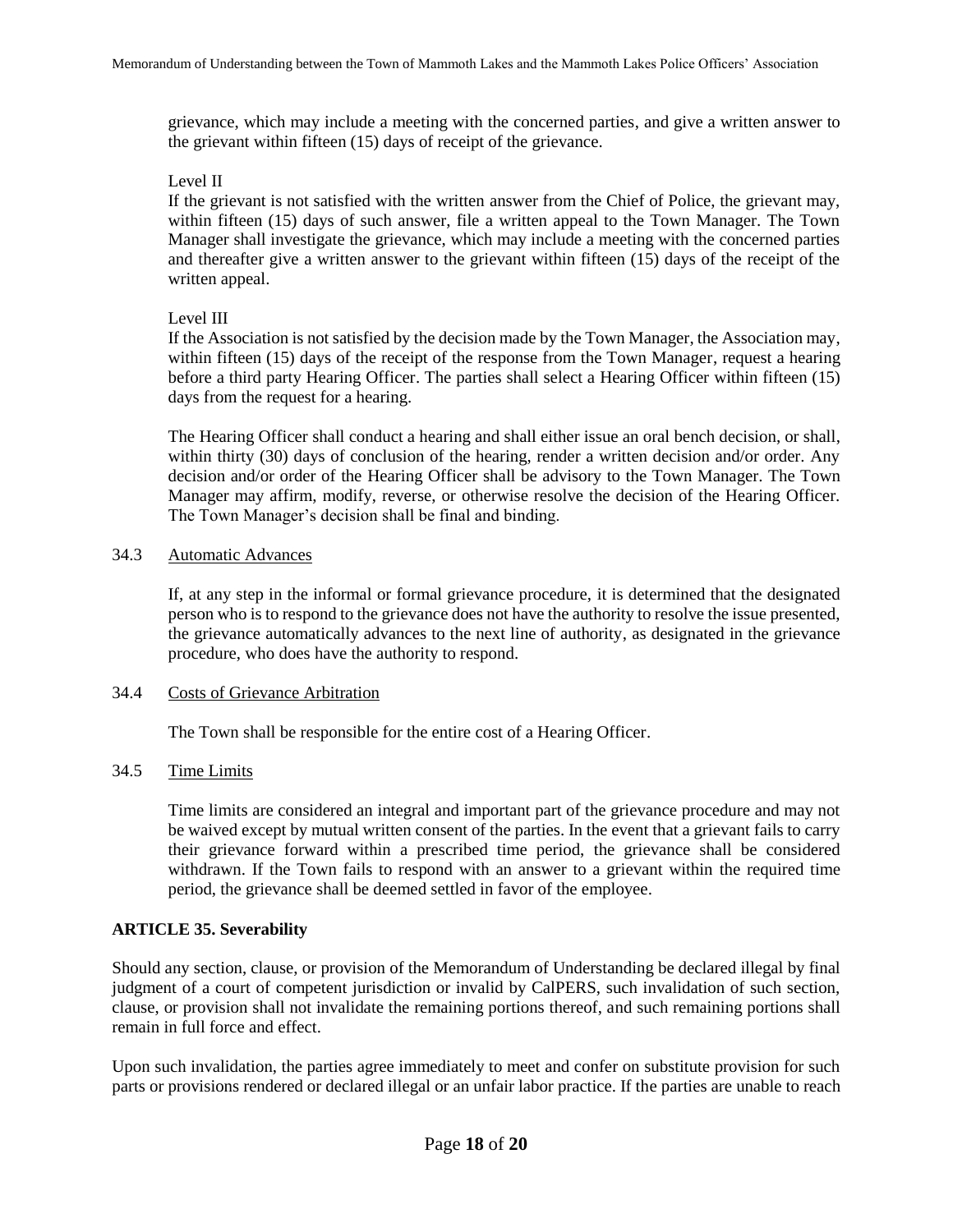grievance, which may include a meeting with the concerned parties, and give a written answer to the grievant within fifteen (15) days of receipt of the grievance.

#### Level II

If the grievant is not satisfied with the written answer from the Chief of Police, the grievant may, within fifteen (15) days of such answer, file a written appeal to the Town Manager. The Town Manager shall investigate the grievance, which may include a meeting with the concerned parties and thereafter give a written answer to the grievant within fifteen (15) days of the receipt of the written appeal.

# Level III

If the Association is not satisfied by the decision made by the Town Manager, the Association may, within fifteen (15) days of the receipt of the response from the Town Manager, request a hearing before a third party Hearing Officer. The parties shall select a Hearing Officer within fifteen (15) days from the request for a hearing.

The Hearing Officer shall conduct a hearing and shall either issue an oral bench decision, or shall, within thirty (30) days of conclusion of the hearing, render a written decision and/or order. Any decision and/or order of the Hearing Officer shall be advisory to the Town Manager. The Town Manager may affirm, modify, reverse, or otherwise resolve the decision of the Hearing Officer. The Town Manager's decision shall be final and binding.

# 34.3 Automatic Advances

If, at any step in the informal or formal grievance procedure, it is determined that the designated person who is to respond to the grievance does not have the authority to resolve the issue presented, the grievance automatically advances to the next line of authority, as designated in the grievance procedure, who does have the authority to respond.

# 34.4 Costs of Grievance Arbitration

The Town shall be responsible for the entire cost of a Hearing Officer.

# 34.5 Time Limits

Time limits are considered an integral and important part of the grievance procedure and may not be waived except by mutual written consent of the parties. In the event that a grievant fails to carry their grievance forward within a prescribed time period, the grievance shall be considered withdrawn. If the Town fails to respond with an answer to a grievant within the required time period, the grievance shall be deemed settled in favor of the employee.

# **ARTICLE 35. Severability**

Should any section, clause, or provision of the Memorandum of Understanding be declared illegal by final judgment of a court of competent jurisdiction or invalid by CalPERS, such invalidation of such section, clause, or provision shall not invalidate the remaining portions thereof, and such remaining portions shall remain in full force and effect.

Upon such invalidation, the parties agree immediately to meet and confer on substitute provision for such parts or provisions rendered or declared illegal or an unfair labor practice. If the parties are unable to reach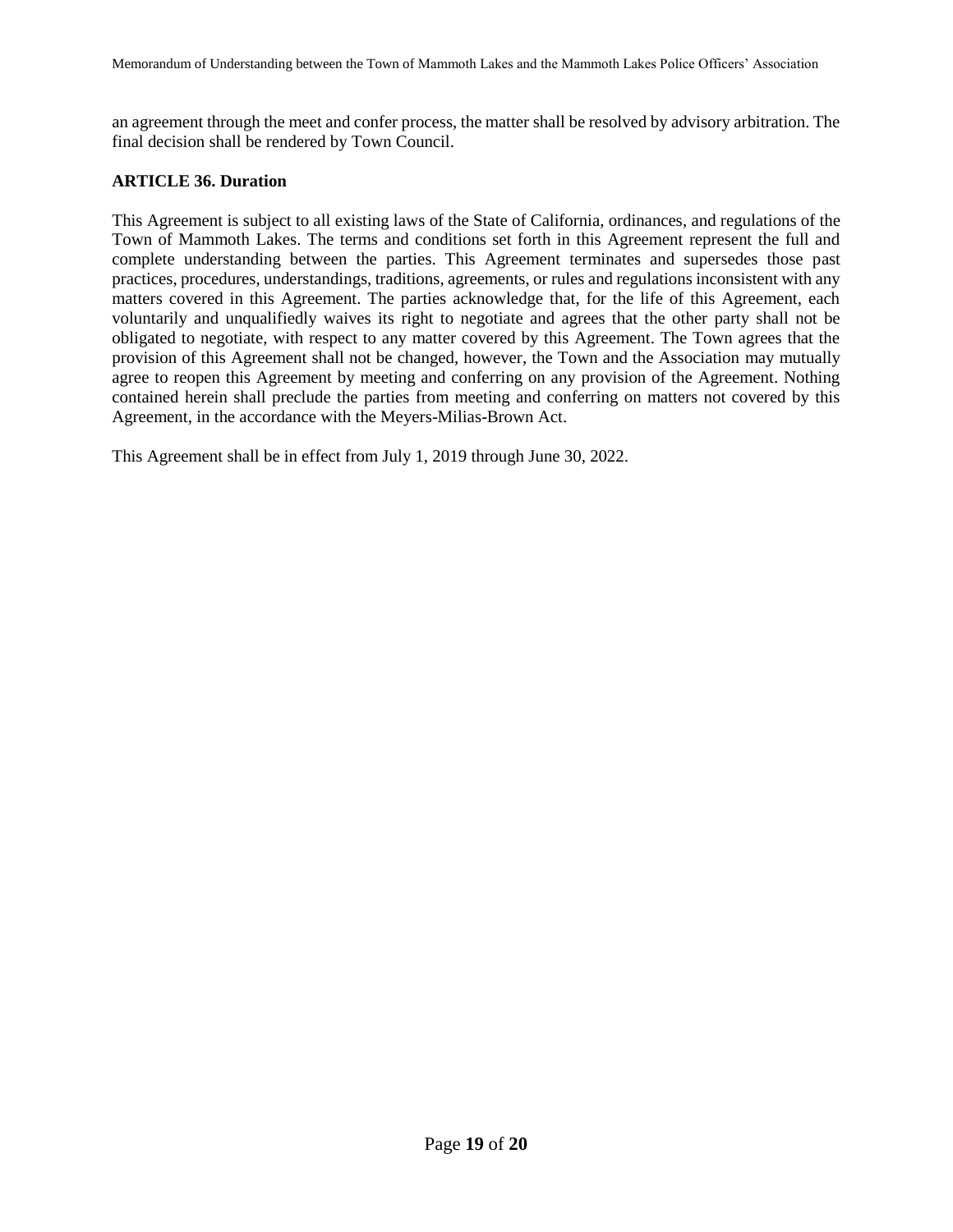an agreement through the meet and confer process, the matter shall be resolved by advisory arbitration. The final decision shall be rendered by Town Council.

# **ARTICLE 36. Duration**

This Agreement is subject to all existing laws of the State of California, ordinances, and regulations of the Town of Mammoth Lakes. The terms and conditions set forth in this Agreement represent the full and complete understanding between the parties. This Agreement terminates and supersedes those past practices, procedures, understandings, traditions, agreements, or rules and regulations inconsistent with any matters covered in this Agreement. The parties acknowledge that, for the life of this Agreement, each voluntarily and unqualifiedly waives its right to negotiate and agrees that the other party shall not be obligated to negotiate, with respect to any matter covered by this Agreement. The Town agrees that the provision of this Agreement shall not be changed, however, the Town and the Association may mutually agree to reopen this Agreement by meeting and conferring on any provision of the Agreement. Nothing contained herein shall preclude the parties from meeting and conferring on matters not covered by this Agreement, in the accordance with the Meyers-Milias-Brown Act.

This Agreement shall be in effect from July 1, 2019 through June 30, 2022.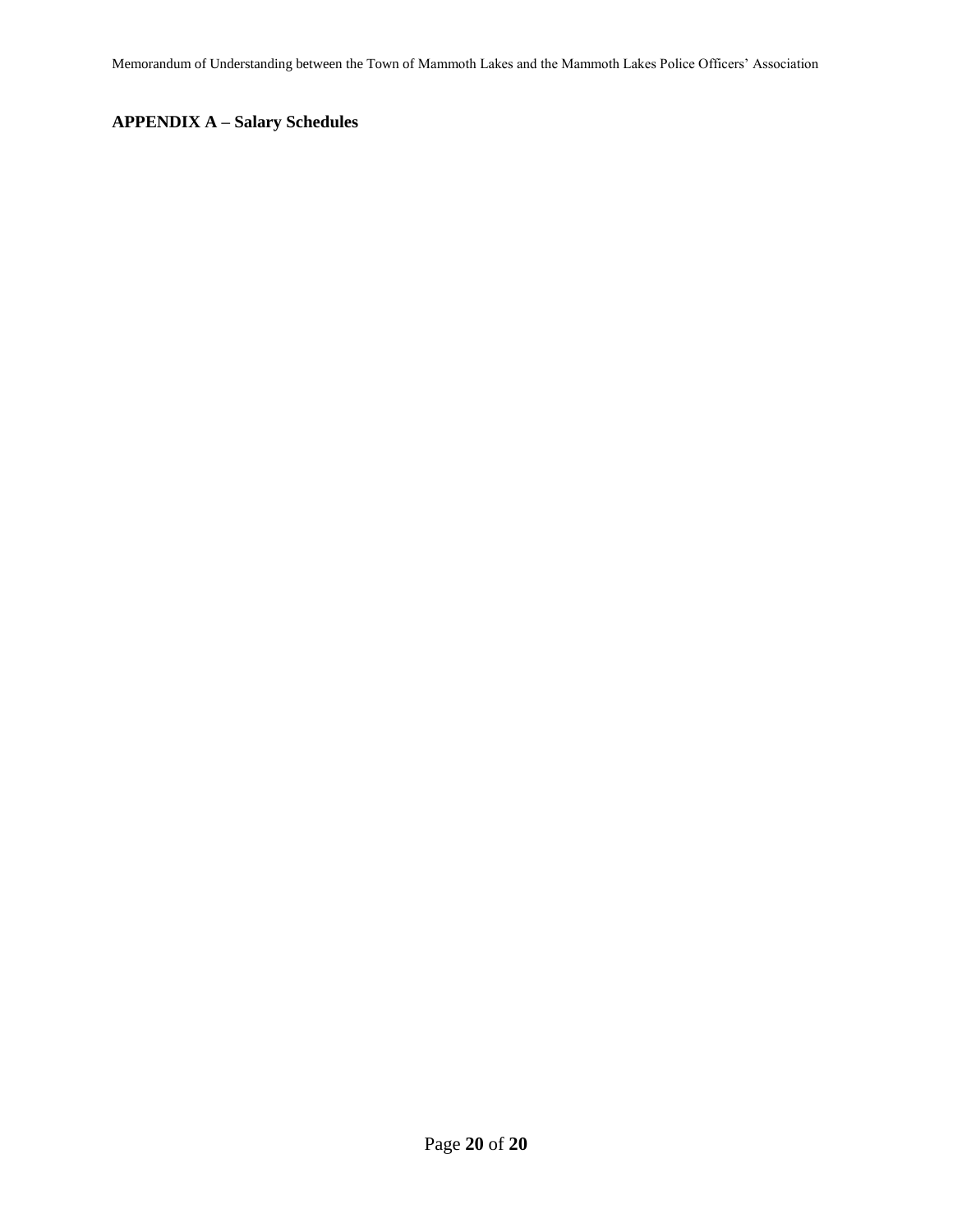Memorandum of Understanding between the Town of Mammoth Lakes and the Mammoth Lakes Police Officers' Association

# **APPENDIX A – Salary Schedules**